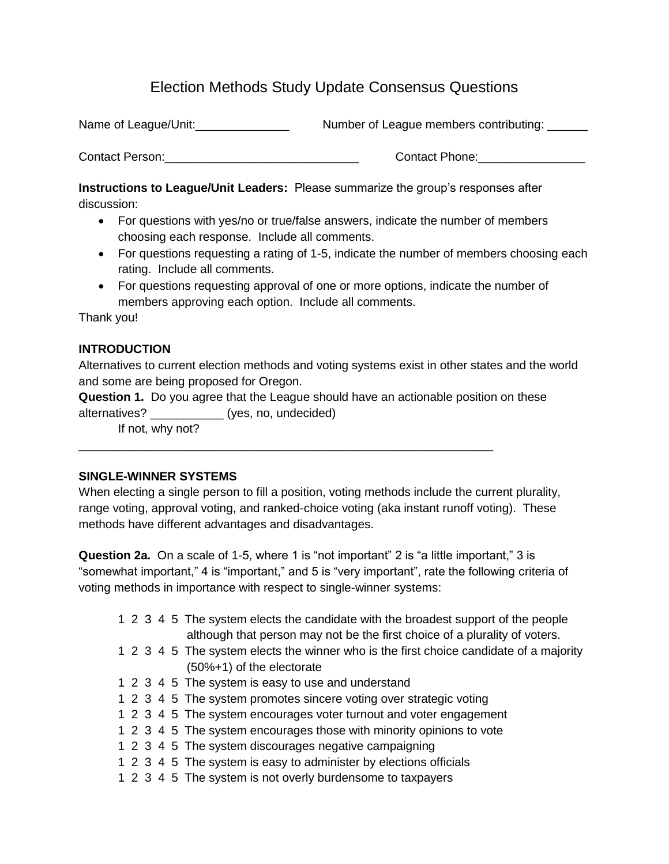# Election Methods Study Update Consensus Questions

Name of League/Unit:\_\_\_\_\_\_\_\_\_\_\_\_\_\_ Number of League members contributing: \_\_\_\_\_\_

Contact Person: etc. and the contact Phone: contact Phone:

**Instructions to League/Unit Leaders:** Please summarize the group's responses after discussion:

- For questions with yes/no or true/false answers, indicate the number of members choosing each response. Include all comments.
- For questions requesting a rating of 1-5, indicate the number of members choosing each rating. Include all comments.
- For questions requesting approval of one or more options, indicate the number of members approving each option. Include all comments.

Thank you!

# **INTRODUCTION**

Alternatives to current election methods and voting systems exist in other states and the world and some are being proposed for Oregon.

**Question 1.** Do you agree that the League should have an actionable position on these alternatives? \_\_\_\_\_\_\_\_\_\_\_ (yes, no, undecided)

\_\_\_\_\_\_\_\_\_\_\_\_\_\_\_\_\_\_\_\_\_\_\_\_\_\_\_\_\_\_\_\_\_\_\_\_\_\_\_\_\_\_\_\_\_\_\_\_\_\_\_\_\_\_\_\_\_\_\_\_\_\_

If not, why not?

# **SINGLE-WINNER SYSTEMS**

When electing a single person to fill a position, voting methods include the current plurality, range voting, approval voting, and ranked-choice voting (aka instant runoff voting). These methods have different advantages and disadvantages.

**Question 2a.** On a scale of 1-5, where 1 is "not important" 2 is "a little important," 3 is "somewhat important," 4 is "important," and 5 is "very important", rate the following criteria of voting methods in importance with respect to single-winner systems:

- 1 2 3 4 5 The system elects the candidate with the broadest support of the people although that person may not be the first choice of a plurality of voters.
- 1 2 3 4 5 The system elects the winner who is the first choice candidate of a majority (50%+1) of the electorate
- 1 2 3 4 5 The system is easy to use and understand
- 1 2 3 4 5 The system promotes sincere voting over strategic voting
- 1 2 3 4 5 The system encourages voter turnout and voter engagement
- 1 2 3 4 5 The system encourages those with minority opinions to vote
- 1 2 3 4 5 The system discourages negative campaigning
- 1 2 3 4 5 The system is easy to administer by elections officials
- 1 2 3 4 5 The system is not overly burdensome to taxpayers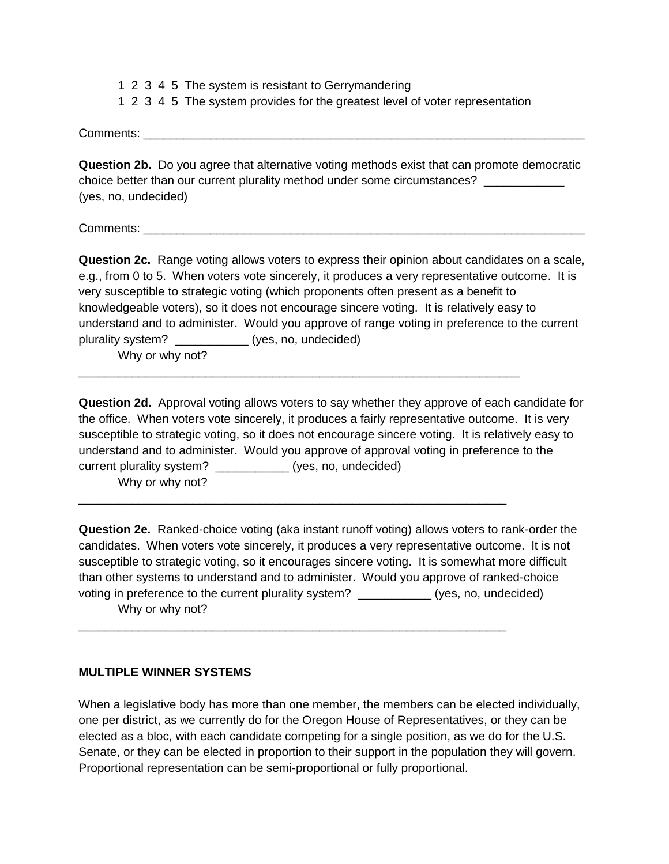1 2 3 4 5 The system is resistant to Gerrymandering 1 2 3 4 5 The system provides for the greatest level of voter representation

Comments:

**Question 2b.** Do you agree that alternative voting methods exist that can promote democratic choice better than our current plurality method under some circumstances? \_\_\_\_\_\_\_\_\_\_\_\_ (yes, no, undecided)

Comments: \_\_\_\_\_\_\_\_\_\_\_\_\_\_\_\_\_\_\_\_\_\_\_\_\_\_\_\_\_\_\_\_\_\_\_\_\_\_\_\_\_\_\_\_\_\_\_\_\_\_\_\_\_\_\_\_\_\_\_\_\_\_\_\_\_\_

**Question 2c.** Range voting allows voters to express their opinion about candidates on a scale, e.g., from 0 to 5. When voters vote sincerely, it produces a very representative outcome. It is very susceptible to strategic voting (which proponents often present as a benefit to knowledgeable voters), so it does not encourage sincere voting. It is relatively easy to understand and to administer. Would you approve of range voting in preference to the current plurality system? \_\_\_\_\_\_\_\_\_\_\_ (yes, no, undecided)

Why or why not?

**Question 2d.** Approval voting allows voters to say whether they approve of each candidate for the office. When voters vote sincerely, it produces a fairly representative outcome. It is very susceptible to strategic voting, so it does not encourage sincere voting. It is relatively easy to understand and to administer. Would you approve of approval voting in preference to the current plurality system? \_\_\_\_\_\_\_\_\_\_\_ (yes, no, undecided) Why or why not?

\_\_\_\_\_\_\_\_\_\_\_\_\_\_\_\_\_\_\_\_\_\_\_\_\_\_\_\_\_\_\_\_\_\_\_\_\_\_\_\_\_\_\_\_\_\_\_\_\_\_\_\_\_\_\_\_\_\_\_\_\_\_\_\_\_\_

\_\_\_\_\_\_\_\_\_\_\_\_\_\_\_\_\_\_\_\_\_\_\_\_\_\_\_\_\_\_\_\_\_\_\_\_\_\_\_\_\_\_\_\_\_\_\_\_\_\_\_\_\_\_\_\_\_\_\_\_\_\_\_\_

\_\_\_\_\_\_\_\_\_\_\_\_\_\_\_\_\_\_\_\_\_\_\_\_\_\_\_\_\_\_\_\_\_\_\_\_\_\_\_\_\_\_\_\_\_\_\_\_\_\_\_\_\_\_\_\_\_\_\_\_\_\_\_\_

**Question 2e.** Ranked-choice voting (aka instant runoff voting) allows voters to rank-order the candidates. When voters vote sincerely, it produces a very representative outcome. It is not susceptible to strategic voting, so it encourages sincere voting. It is somewhat more difficult than other systems to understand and to administer. Would you approve of ranked-choice voting in preference to the current plurality system? \_\_\_\_\_\_\_\_\_\_\_\_(yes, no, undecided) Why or why not?

#### **MULTIPLE WINNER SYSTEMS**

When a legislative body has more than one member, the members can be elected individually, one per district, as we currently do for the Oregon House of Representatives, or they can be elected as a bloc, with each candidate competing for a single position, as we do for the U.S. Senate, or they can be elected in proportion to their support in the population they will govern. Proportional representation can be semi-proportional or fully proportional.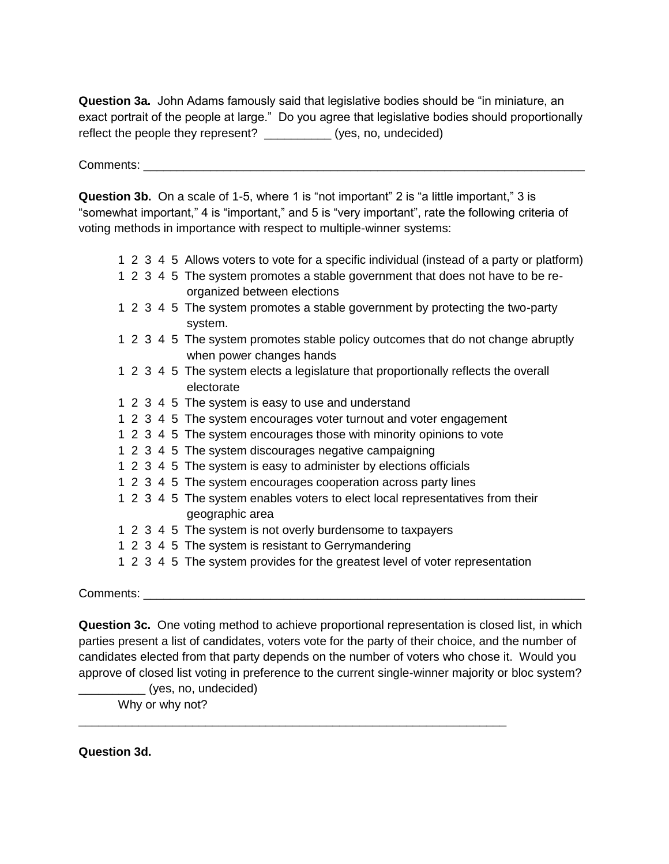**Question 3a.** John Adams famously said that legislative bodies should be "in miniature, an exact portrait of the people at large." Do you agree that legislative bodies should proportionally reflect the people they represent? (yes, no, undecided)

Comments: \_\_\_\_\_\_\_\_\_\_\_\_\_\_\_\_\_\_\_\_\_\_\_\_\_\_\_\_\_\_\_\_\_\_\_\_\_\_\_\_\_\_\_\_\_\_\_\_\_\_\_\_\_\_\_\_\_\_\_\_\_\_\_\_\_\_

**Question 3b.** On a scale of 1-5, where 1 is "not important" 2 is "a little important," 3 is "somewhat important," 4 is "important," and 5 is "very important", rate the following criteria of voting methods in importance with respect to multiple-winner systems:

- 1 2 3 4 5 Allows voters to vote for a specific individual (instead of a party or platform)
- 1 2 3 4 5 The system promotes a stable government that does not have to be reorganized between elections
- 1 2 3 4 5 The system promotes a stable government by protecting the two-party system.
- 1 2 3 4 5 The system promotes stable policy outcomes that do not change abruptly when power changes hands
- 1 2 3 4 5 The system elects a legislature that proportionally reflects the overall electorate
- 1 2 3 4 5 The system is easy to use and understand
- 1 2 3 4 5 The system encourages voter turnout and voter engagement
- 1 2 3 4 5 The system encourages those with minority opinions to vote
- 1 2 3 4 5 The system discourages negative campaigning
- 1 2 3 4 5 The system is easy to administer by elections officials
- 1 2 3 4 5 The system encourages cooperation across party lines
- 1 2 3 4 5 The system enables voters to elect local representatives from their geographic area
- 1 2 3 4 5 The system is not overly burdensome to taxpayers

\_\_\_\_\_\_\_\_\_\_\_\_\_\_\_\_\_\_\_\_\_\_\_\_\_\_\_\_\_\_\_\_\_\_\_\_\_\_\_\_\_\_\_\_\_\_\_\_\_\_\_\_\_\_\_\_\_\_\_\_\_\_\_\_

- 1 2 3 4 5 The system is resistant to Gerrymandering
- 1 2 3 4 5 The system provides for the greatest level of voter representation

Comments:

**Question 3c.** One voting method to achieve proportional representation is closed list, in which parties present a list of candidates, voters vote for the party of their choice, and the number of candidates elected from that party depends on the number of voters who chose it. Would you approve of closed list voting in preference to the current single-winner majority or bloc system?

\_\_\_\_\_\_\_\_\_\_ (yes, no, undecided) Why or why not?

**Question 3d.**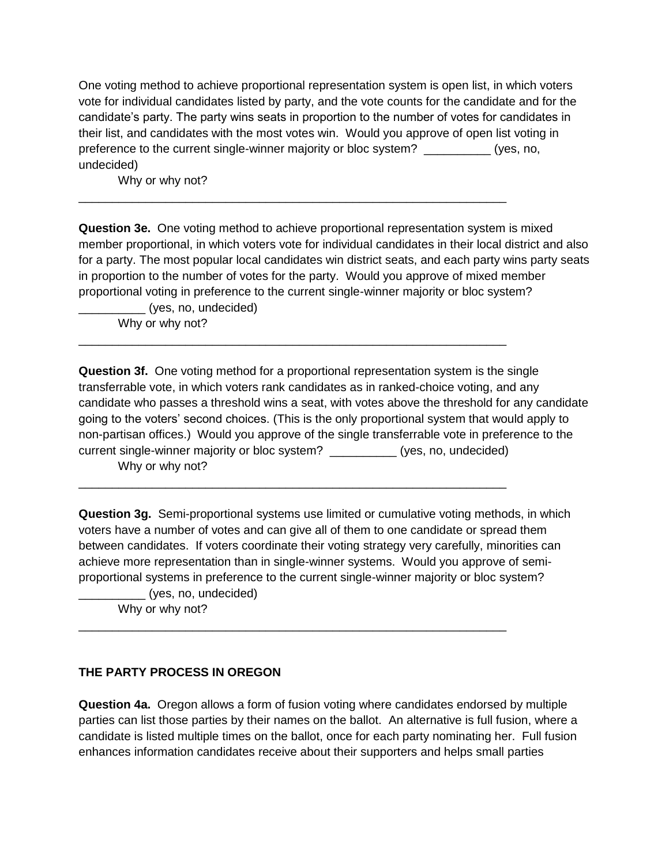One voting method to achieve proportional representation system is open list, in which voters vote for individual candidates listed by party, and the vote counts for the candidate and for the candidate's party. The party wins seats in proportion to the number of votes for candidates in their list, and candidates with the most votes win. Would you approve of open list voting in preference to the current single-winner majority or bloc system? \_\_\_\_\_\_\_\_\_\_ (yes, no, undecided)

\_\_\_\_\_\_\_\_\_\_\_\_\_\_\_\_\_\_\_\_\_\_\_\_\_\_\_\_\_\_\_\_\_\_\_\_\_\_\_\_\_\_\_\_\_\_\_\_\_\_\_\_\_\_\_\_\_\_\_\_\_\_\_\_

\_\_\_\_\_\_\_\_\_\_\_\_\_\_\_\_\_\_\_\_\_\_\_\_\_\_\_\_\_\_\_\_\_\_\_\_\_\_\_\_\_\_\_\_\_\_\_\_\_\_\_\_\_\_\_\_\_\_\_\_\_\_\_\_

\_\_\_\_\_\_\_\_\_\_\_\_\_\_\_\_\_\_\_\_\_\_\_\_\_\_\_\_\_\_\_\_\_\_\_\_\_\_\_\_\_\_\_\_\_\_\_\_\_\_\_\_\_\_\_\_\_\_\_\_\_\_\_\_

\_\_\_\_\_\_\_\_\_\_\_\_\_\_\_\_\_\_\_\_\_\_\_\_\_\_\_\_\_\_\_\_\_\_\_\_\_\_\_\_\_\_\_\_\_\_\_\_\_\_\_\_\_\_\_\_\_\_\_\_\_\_\_\_

Why or why not?

**Question 3e.** One voting method to achieve proportional representation system is mixed member proportional, in which voters vote for individual candidates in their local district and also for a party. The most popular local candidates win district seats, and each party wins party seats in proportion to the number of votes for the party. Would you approve of mixed member proportional voting in preference to the current single-winner majority or bloc system?

\_\_\_\_\_\_\_\_\_\_ (yes, no, undecided) Why or why not?

**Question 3f.** One voting method for a proportional representation system is the single transferrable vote, in which voters rank candidates as in ranked-choice voting, and any candidate who passes a threshold wins a seat, with votes above the threshold for any candidate going to the voters' second choices. (This is the only proportional system that would apply to non-partisan offices.) Would you approve of the single transferrable vote in preference to the current single-winner majority or bloc system? \_\_\_\_\_\_\_\_\_\_ (yes, no, undecided) Why or why not?

**Question 3g.** Semi-proportional systems use limited or cumulative voting methods, in which voters have a number of votes and can give all of them to one candidate or spread them between candidates. If voters coordinate their voting strategy very carefully, minorities can achieve more representation than in single-winner systems. Would you approve of semiproportional systems in preference to the current single-winner majority or bloc system?

\_\_\_\_\_\_\_\_\_\_ (yes, no, undecided) Why or why not?

# **THE PARTY PROCESS IN OREGON**

**Question 4a.** Oregon allows a form of fusion voting where candidates endorsed by multiple parties can list those parties by their names on the ballot. An alternative is full fusion, where a candidate is listed multiple times on the ballot, once for each party nominating her. Full fusion enhances information candidates receive about their supporters and helps small parties